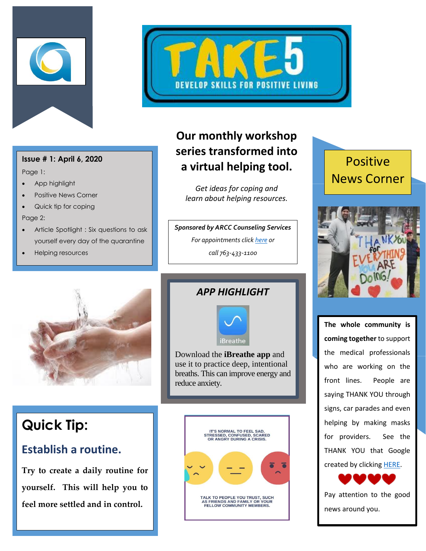



#### **Issue # 1: April 6, 2020**

Page 1:

- App highlight
- Positive News Corner
- Quick tip for coping
- Page 2:
- Article Spotlight : Six questions to ask yourself every day of the quarantine
- Helping resources

## **Our monthly workshop series transformed into a virtual helping tool.**

*Get ideas for coping and learn about helping resources.*

#### *Sponsored by ARCC Counseling Services For appointments click [here](http://www.anokaramsey.edu/resources/counseling-services/personal-counseling/) or*

*call 763-433-1100*

# Positive News Corner





# **Quick Tip:**

### **Establish a routine.**

**Try to create a daily routine for yourself. This will help you to feel more settled and in control.** 

#### *APP HIGHLIGHT*



Download the **iBreathe app** and use it to practice deep, intentional breaths. This can improve energy and reduce anxiety.

֦



**The whole community is coming together** to support the medical professionals who are working on the front lines. People are saying THANK YOU through signs, car parades and even helping by making masks for providers. See the THANK YOU that Google created by clickin[g HERE.](https://www.youtube.com/watch?v=-rtuEgAHWw0)



Pay attention to the good news around you.